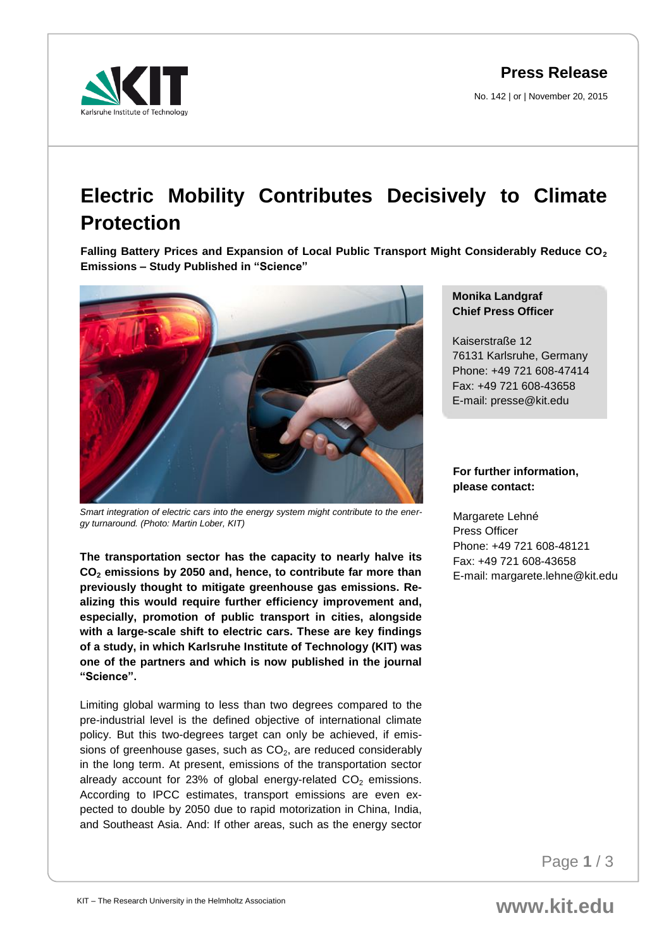**Press Release**

No. 142 | or | November 20, 2015



## **Electric Mobility Contributes Decisively to Climate Protection**

**Falling Battery Prices and Expansion of Local Public Transport Might Considerably Reduce CO<sup>2</sup> Emissions – Study Published in "Science"**



*Smart integration of electric cars into the energy system might contribute to the energy turnaround. (Photo: Martin Lober, KIT)*

**The transportation sector has the capacity to nearly halve its CO<sup>2</sup> emissions by 2050 and, hence, to contribute far more than previously thought to mitigate greenhouse gas emissions. Realizing this would require further efficiency improvement and, especially, promotion of public transport in cities, alongside with a large-scale shift to electric cars. These are key findings of a study, in which Karlsruhe Institute of Technology (KIT) was one of the partners and which is now published in the journal "Science".** 

Limiting global warming to less than two degrees compared to the pre-industrial level is the defined objective of international climate policy. But this two-degrees target can only be achieved, if emissions of greenhouse gases, such as  $CO<sub>2</sub>$ , are reduced considerably in the long term. At present, emissions of the transportation sector already account for 23% of global energy-related  $CO<sub>2</sub>$  emissions. According to IPCC estimates, transport emissions are even expected to double by 2050 due to rapid motorization in China, India, and Southeast Asia. And: If other areas, such as the energy sector

## **Monika Landgraf Chief Press Officer**

Kaiserstraße 12 76131 Karlsruhe, Germany Phone: +49 721 608-47414 Fax: +49 721 608-43658 E-mail: presse@kit.edu

## **For further information, please contact:**

Margarete Lehné Press Officer Phone: +49 721 608-48121 Fax: +49 721 608-43658 E-mail: margarete.lehne@kit.edu

Page **1** / 3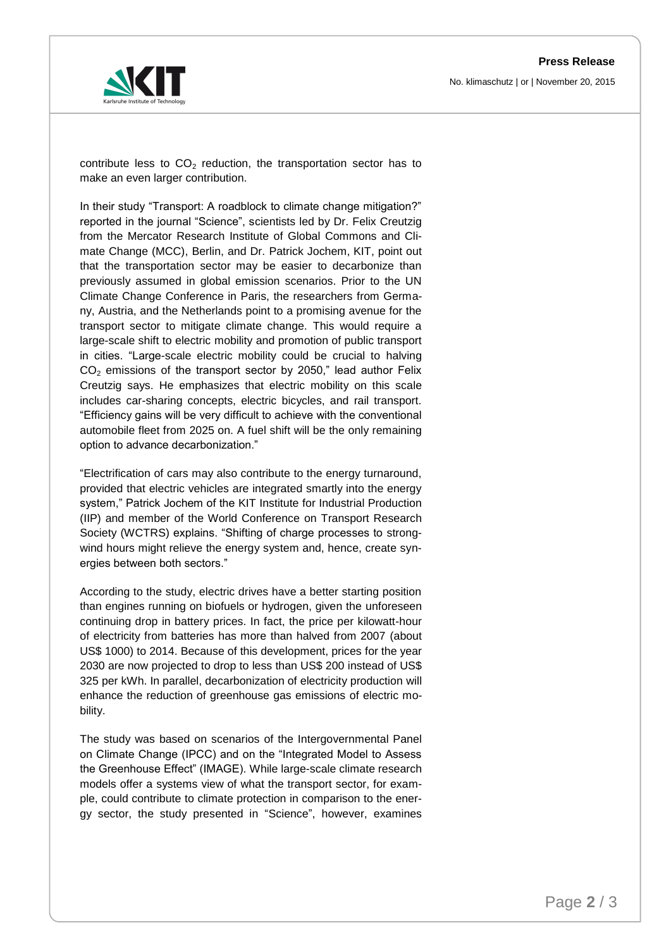

contribute less to  $CO<sub>2</sub>$  reduction, the transportation sector has to make an even larger contribution.

In their study "Transport: A roadblock to climate change mitigation?" reported in the journal "Science", scientists led by Dr. Felix Creutzig from the Mercator Research Institute of Global Commons and Climate Change (MCC), Berlin, and Dr. Patrick Jochem, KIT, point out that the transportation sector may be easier to decarbonize than previously assumed in global emission scenarios. Prior to the UN Climate Change Conference in Paris, the researchers from Germany, Austria, and the Netherlands point to a promising avenue for the transport sector to mitigate climate change. This would require a large-scale shift to electric mobility and promotion of public transport in cities. "Large-scale electric mobility could be crucial to halving  $CO<sub>2</sub>$  emissions of the transport sector by 2050," lead author Felix Creutzig says. He emphasizes that electric mobility on this scale includes car-sharing concepts, electric bicycles, and rail transport. "Efficiency gains will be very difficult to achieve with the conventional automobile fleet from 2025 on. A fuel shift will be the only remaining option to advance decarbonization."

"Electrification of cars may also contribute to the energy turnaround, provided that electric vehicles are integrated smartly into the energy system," Patrick Jochem of the KIT Institute for Industrial Production (IIP) and member of the World Conference on Transport Research Society (WCTRS) explains. "Shifting of charge processes to strongwind hours might relieve the energy system and, hence, create synergies between both sectors."

According to the study, electric drives have a better starting position than engines running on biofuels or hydrogen, given the unforeseen continuing drop in battery prices. In fact, the price per kilowatt-hour of electricity from batteries has more than halved from 2007 (about US\$ 1000) to 2014. Because of this development, prices for the year 2030 are now projected to drop to less than US\$ 200 instead of US\$ 325 per kWh. In parallel, decarbonization of electricity production will enhance the reduction of greenhouse gas emissions of electric mobility.

The study was based on scenarios of the Intergovernmental Panel on Climate Change (IPCC) and on the "Integrated Model to Assess the Greenhouse Effect" (IMAGE). While large-scale climate research models offer a systems view of what the transport sector, for example, could contribute to climate protection in comparison to the energy sector, the study presented in "Science", however, examines